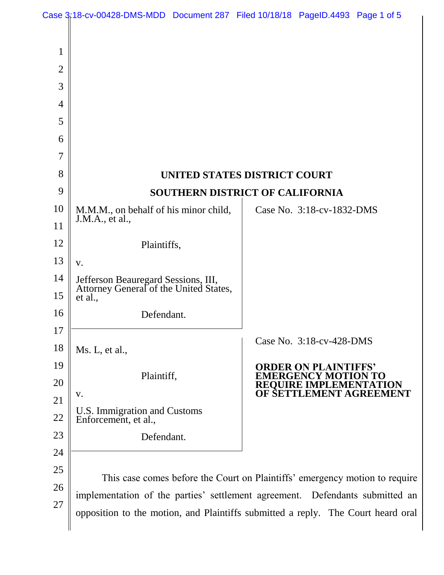|                |                                                                                  | Case 3:18-cv-00428-DMS-MDD Document 287 Filed 10/18/18 PageID.4493 Page 1 of 5 |
|----------------|----------------------------------------------------------------------------------|--------------------------------------------------------------------------------|
|                |                                                                                  |                                                                                |
| 1              |                                                                                  |                                                                                |
| $\overline{2}$ |                                                                                  |                                                                                |
| 3              |                                                                                  |                                                                                |
| 4              |                                                                                  |                                                                                |
| 5              |                                                                                  |                                                                                |
| 6              |                                                                                  |                                                                                |
| $\overline{7}$ |                                                                                  |                                                                                |
| 8              | UNITED STATES DISTRICT COURT                                                     |                                                                                |
| 9              |                                                                                  | <b>SOUTHERN DISTRICT OF CALIFORNIA</b>                                         |
| 10             | M.M.M., on behalf of his minor child,<br>J.M.A., et al.,                         | Case No. 3:18-cv-1832-DMS                                                      |
| 11             |                                                                                  |                                                                                |
| 12             | Plaintiffs,                                                                      |                                                                                |
| 13             | V.                                                                               |                                                                                |
| 14             | Jefferson Beauregard Sessions, III,<br>Attorney General of the United States,    |                                                                                |
| 15             | et al.,                                                                          |                                                                                |
| 16             | Defendant.                                                                       |                                                                                |
| 17             |                                                                                  | Case No. 3:18-cv-428-DMS                                                       |
| 18             | Ms. L, et al.,                                                                   |                                                                                |
| 19             | Plaintiff,                                                                       | <b>ORDER ON PLAIN</b><br>[ERGENCY MO<br>TO                                     |
| 20             | V.                                                                               | REOUIRE IMPLEME]<br>TON<br>OF SETTLEMENT AGREEMENT                             |
| 21             | U.S. Immigration and Customs                                                     |                                                                                |
| 22             | Enforcement, et al.,                                                             |                                                                                |
| 23             | Defendant.                                                                       |                                                                                |
| 24             |                                                                                  |                                                                                |
| 25             | This case comes before the Court on Plaintiffs' emergency motion to require      |                                                                                |
| 26             | implementation of the parties' settlement agreement. Defendants submitted an     |                                                                                |
| 27             | opposition to the motion, and Plaintiffs submitted a reply. The Court heard oral |                                                                                |
|                |                                                                                  |                                                                                |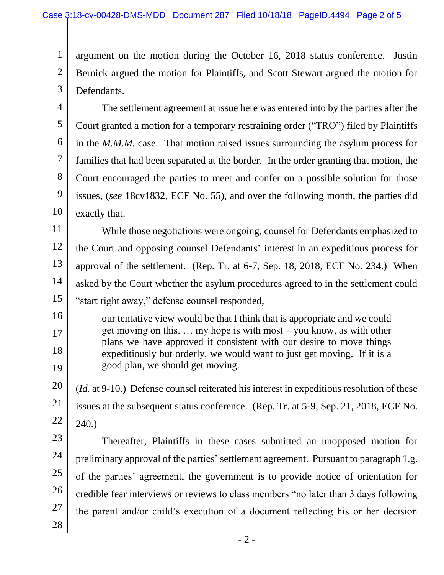1 2 3 argument on the motion during the October 16, 2018 status conference. Justin Bernick argued the motion for Plaintiffs, and Scott Stewart argued the motion for Defendants.

4 5 6 7 8 9 10 The settlement agreement at issue here was entered into by the parties after the Court granted a motion for a temporary restraining order ("TRO") filed by Plaintiffs in the *M.M.M.* case. That motion raised issues surrounding the asylum process for families that had been separated at the border. In the order granting that motion, the Court encouraged the parties to meet and confer on a possible solution for those issues, (*see* 18cv1832, ECF No. 55), and over the following month, the parties did exactly that.

11 12 13 14 15 While those negotiations were ongoing, counsel for Defendants emphasized to the Court and opposing counsel Defendants' interest in an expeditious process for approval of the settlement. (Rep. Tr. at 6-7, Sep. 18, 2018, ECF No. 234.) When asked by the Court whether the asylum procedures agreed to in the settlement could "start right away," defense counsel responded,

our tentative view would be that I think that is appropriate and we could get moving on this. … my hope is with most – you know, as with other plans we have approved it consistent with our desire to move things expeditiously but orderly, we would want to just get moving. If it is a good plan, we should get moving.

20 21 22 (*Id.* at 9-10.) Defense counsel reiterated his interest in expeditious resolution of these issues at the subsequent status conference. (Rep. Tr. at 5-9, Sep. 21, 2018, ECF No. 240.)

23 24 25 26 27 Thereafter, Plaintiffs in these cases submitted an unopposed motion for preliminary approval of the parties'settlement agreement. Pursuant to paragraph 1.g. of the parties' agreement, the government is to provide notice of orientation for credible fear interviews or reviews to class members "no later than 3 days following the parent and/or child's execution of a document reflecting his or her decision

28

16

17

18

19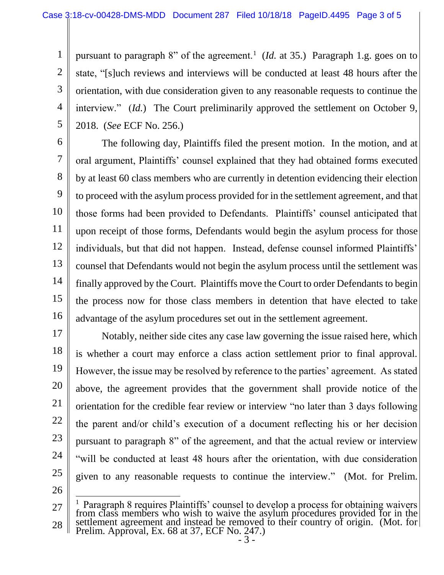1

3

5

2 4 pursuant to paragraph 8" of the agreement.<sup>1</sup> (*Id.* at 35.) Paragraph 1.g. goes on to state, "[s]uch reviews and interviews will be conducted at least 48 hours after the orientation, with due consideration given to any reasonable requests to continue the interview." (*Id.*) The Court preliminarily approved the settlement on October 9, 2018. (*See* ECF No. 256.)

6 7 8 9 10 11 12 13 14 15 16 The following day, Plaintiffs filed the present motion. In the motion, and at oral argument, Plaintiffs' counsel explained that they had obtained forms executed by at least 60 class members who are currently in detention evidencing their election to proceed with the asylum process provided for in the settlement agreement, and that those forms had been provided to Defendants. Plaintiffs' counsel anticipated that upon receipt of those forms, Defendants would begin the asylum process for those individuals, but that did not happen. Instead, defense counsel informed Plaintiffs' counsel that Defendants would not begin the asylum process until the settlement was finally approved by the Court. Plaintiffs move the Court to order Defendants to begin the process now for those class members in detention that have elected to take advantage of the asylum procedures set out in the settlement agreement.

17 18 19 20 21 22 23 24 25 26 Notably, neither side cites any case law governing the issue raised here, which is whether a court may enforce a class action settlement prior to final approval. However, the issue may be resolved by reference to the parties' agreement. As stated above, the agreement provides that the government shall provide notice of the orientation for the credible fear review or interview "no later than 3 days following the parent and/or child's execution of a document reflecting his or her decision pursuant to paragraph 8" of the agreement, and that the actual review or interview "will be conducted at least 48 hours after the orientation, with due consideration given to any reasonable requests to continue the interview." (Mot. for Prelim.

<sup>27</sup> 28 1 Paragraph 8 requires Plaintiffs' counsel to develop a process for obtaining waivers from class members who wish to waive the asylum procedures provided for in the settlement agreement and instead be removed to their country of origin. (Mot. for Prelim. Approval, Ex. 68 at 37, ECF No. 247.)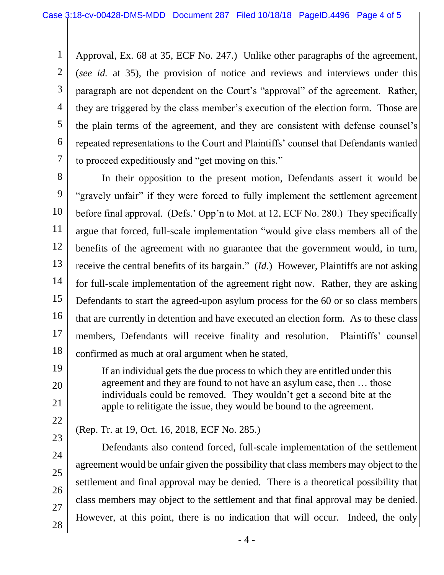1 2 3 4 5 6 7 Approval, Ex. 68 at 35, ECF No. 247.) Unlike other paragraphs of the agreement, (*see id.* at 35), the provision of notice and reviews and interviews under this paragraph are not dependent on the Court's "approval" of the agreement. Rather, they are triggered by the class member's execution of the election form. Those are the plain terms of the agreement, and they are consistent with defense counsel's repeated representations to the Court and Plaintiffs' counsel that Defendants wanted to proceed expeditiously and "get moving on this."

8

9 10 11 12 13 14 15 16 17 18 In their opposition to the present motion, Defendants assert it would be "gravely unfair" if they were forced to fully implement the settlement agreement before final approval. (Defs.' Opp'n to Mot. at 12, ECF No. 280.) They specifically argue that forced, full-scale implementation "would give class members all of the benefits of the agreement with no guarantee that the government would, in turn, receive the central benefits of its bargain." (*Id.*) However, Plaintiffs are not asking for full-scale implementation of the agreement right now. Rather, they are asking Defendants to start the agreed-upon asylum process for the 60 or so class members that are currently in detention and have executed an election form. As to these class members, Defendants will receive finality and resolution. Plaintiffs' counsel confirmed as much at oral argument when he stated,

> If an individual gets the due process to which they are entitled under this agreement and they are found to not have an asylum case, then … those individuals could be removed. They wouldn't get a second bite at the apple to relitigate the issue, they would be bound to the agreement.

22 23

24

25

26

27

28

19

20

21

(Rep. Tr. at 19, Oct. 16, 2018, ECF No. 285.)

Defendants also contend forced, full-scale implementation of the settlement agreement would be unfair given the possibility that class members may object to the settlement and final approval may be denied. There is a theoretical possibility that class members may object to the settlement and that final approval may be denied. However, at this point, there is no indication that will occur. Indeed, the only

- 4 -